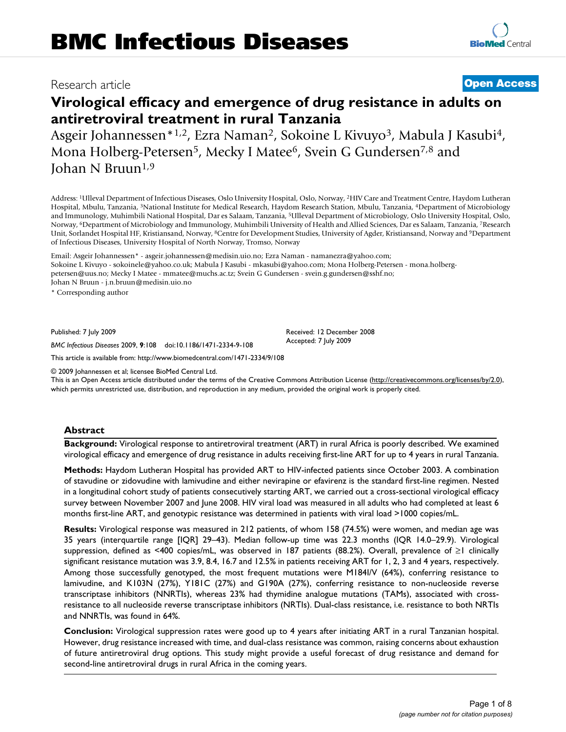## Research article **[Open Access](http://www.biomedcentral.com/info/about/charter/)**

**[BioMed](http://www.biomedcentral.com/)** Central

# **Virological efficacy and emergence of drug resistance in adults on antiretroviral treatment in rural Tanzania**

Asgeir Johannessen\*1,2, Ezra Naman2, Sokoine L Kivuyo3, Mabula J Kasubi4, Mona Holberg-Petersen<sup>5</sup>, Mecky I Matee<sup>6</sup>, Svein G Gundersen<sup>7,8</sup> and Johan N Bruun<sup>1,9</sup>

Address: 1Ulleval Department of Infectious Diseases, Oslo University Hospital, Oslo, Norway, 2HIV Care and Treatment Centre, Haydom Lutheran Hospital, Mbulu, Tanzania, 3National Institute for Medical Research, Haydom Research Station, Mbulu, Tanzania, 4Department of Microbiology and Immunology, Muhimbili National Hospital, Dar es Salaam, Tanzania, 5Ulleval Department of Microbiology, Oslo University Hospital, Oslo, Norway, 6Department of Microbiology and Immunology, Muhimbili University of Health and Allied Sciences, Dar es Salaam, Tanzania, 7Research Unit, Sorlandet Hospital HF, Kristiansand, Norway, 8Centre for Development Studies, University of Agder, Kristiansand, Norway and 9Department of Infectious Diseases, University Hospital of North Norway, Tromso, Norway

Email: Asgeir Johannessen\* - asgeir.johannessen@medisin.uio.no; Ezra Naman - namanezra@yahoo.com; Sokoine L Kivuyo - sokoinele@yahoo.co.uk; Mabula J Kasubi - mkasubi@yahoo.com; Mona Holberg-Petersen - mona.holbergpetersen@uus.no; Mecky I Matee - mmatee@muchs.ac.tz; Svein G Gundersen - svein.g.gundersen@sshf.no; Johan N Bruun - j.n.bruun@medisin.uio.no

\* Corresponding author

Published: 7 July 2009

*BMC Infectious Diseases* 2009, **9**:108 doi:10.1186/1471-2334-9-108

[This article is available from: http://www.biomedcentral.com/1471-2334/9/108](http://www.biomedcentral.com/1471-2334/9/108)

© 2009 Johannessen et al; licensee BioMed Central Ltd.

This is an Open Access article distributed under the terms of the Creative Commons Attribution License [\(http://creativecommons.org/licenses/by/2.0\)](http://creativecommons.org/licenses/by/2.0), which permits unrestricted use, distribution, and reproduction in any medium, provided the original work is properly cited.

Received: 12 December 2008 Accepted: 7 July 2009

#### **Abstract**

**Background:** Virological response to antiretroviral treatment (ART) in rural Africa is poorly described. We examined virological efficacy and emergence of drug resistance in adults receiving first-line ART for up to 4 years in rural Tanzania.

**Methods:** Haydom Lutheran Hospital has provided ART to HIV-infected patients since October 2003. A combination of stavudine or zidovudine with lamivudine and either nevirapine or efavirenz is the standard first-line regimen. Nested in a longitudinal cohort study of patients consecutively starting ART, we carried out a cross-sectional virological efficacy survey between November 2007 and June 2008. HIV viral load was measured in all adults who had completed at least 6 months first-line ART, and genotypic resistance was determined in patients with viral load >1000 copies/mL.

**Results:** Virological response was measured in 212 patients, of whom 158 (74.5%) were women, and median age was 35 years (interquartile range [IQR] 29–43). Median follow-up time was 22.3 months (IQR 14.0–29.9). Virological suppression, defined as <400 copies/mL, was observed in 187 patients (88.2%). Overall, prevalence of  $\geq 1$  clinically significant resistance mutation was 3.9, 8.4, 16.7 and 12.5% in patients receiving ART for 1, 2, 3 and 4 years, respectively. Among those successfully genotyped, the most frequent mutations were M184I/V (64%), conferring resistance to lamivudine, and K103N (27%), Y181C (27%) and G190A (27%), conferring resistance to non-nucleoside reverse transcriptase inhibitors (NNRTIs), whereas 23% had thymidine analogue mutations (TAMs), associated with crossresistance to all nucleoside reverse transcriptase inhibitors (NRTIs). Dual-class resistance, i.e. resistance to both NRTIs and NNRTIs, was found in 64%.

**Conclusion:** Virological suppression rates were good up to 4 years after initiating ART in a rural Tanzanian hospital. However, drug resistance increased with time, and dual-class resistance was common, raising concerns about exhaustion of future antiretroviral drug options. This study might provide a useful forecast of drug resistance and demand for second-line antiretroviral drugs in rural Africa in the coming years.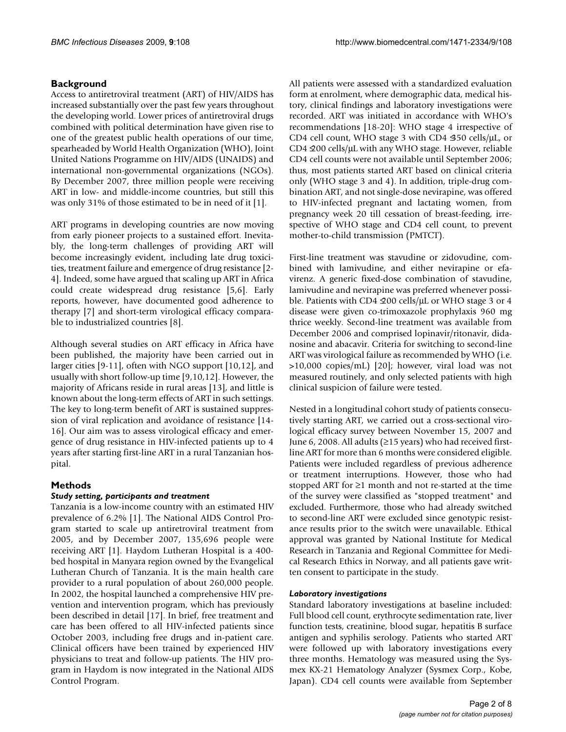### **Background**

Access to antiretroviral treatment (ART) of HIV/AIDS has increased substantially over the past few years throughout the developing world. Lower prices of antiretroviral drugs combined with political determination have given rise to one of the greatest public health operations of our time, spearheaded by World Health Organization (WHO), Joint United Nations Programme on HIV/AIDS (UNAIDS) and international non-governmental organizations (NGOs). By December 2007, three million people were receiving ART in low- and middle-income countries, but still this was only 31% of those estimated to be in need of it [1].

ART programs in developing countries are now moving from early pioneer projects to a sustained effort. Inevitably, the long-term challenges of providing ART will become increasingly evident, including late drug toxicities, treatment failure and emergence of drug resistance [2- 4]. Indeed, some have argued that scaling up ART in Africa could create widespread drug resistance [5,6]. Early reports, however, have documented good adherence to therapy [7] and short-term virological efficacy comparable to industrialized countries [8].

Although several studies on ART efficacy in Africa have been published, the majority have been carried out in larger cities [9-11], often with NGO support [10,12], and usually with short follow-up time [9,10,12]. However, the majority of Africans reside in rural areas [13], and little is known about the long-term effects of ART in such settings. The key to long-term benefit of ART is sustained suppression of viral replication and avoidance of resistance [14- 16]. Our aim was to assess virological efficacy and emergence of drug resistance in HIV-infected patients up to 4 years after starting first-line ART in a rural Tanzanian hospital.

### **Methods**

#### *Study setting, participants and treatment*

Tanzania is a low-income country with an estimated HIV prevalence of 6.2% [1]. The National AIDS Control Program started to scale up antiretroviral treatment from 2005, and by December 2007, 135,696 people were receiving ART [1]. Haydom Lutheran Hospital is a 400 bed hospital in Manyara region owned by the Evangelical Lutheran Church of Tanzania. It is the main health care provider to a rural population of about 260,000 people. In 2002, the hospital launched a comprehensive HIV prevention and intervention program, which has previously been described in detail [17]. In brief, free treatment and care has been offered to all HIV-infected patients since October 2003, including free drugs and in-patient care. Clinical officers have been trained by experienced HIV physicians to treat and follow-up patients. The HIV program in Haydom is now integrated in the National AIDS Control Program.

All patients were assessed with a standardized evaluation form at enrolment, where demographic data, medical history, clinical findings and laboratory investigations were recorded. ART was initiated in accordance with WHO's recommendations [18-20]: WHO stage 4 irrespective of CD4 cell count, WHO stage 3 with CD4  $$50$  cells/ $\mu$ L, or CD4 200 cells/µL with any WHO stage. However, reliable CD4 cell counts were not available until September 2006; thus, most patients started ART based on clinical criteria only (WHO stage 3 and 4). In addition, triple-drug combination ART, and not single-dose nevirapine, was offered to HIV-infected pregnant and lactating women, from pregnancy week 20 till cessation of breast-feeding, irrespective of WHO stage and CD4 cell count, to prevent mother-to-child transmission (PMTCT).

First-line treatment was stavudine or zidovudine, combined with lamivudine, and either nevirapine or efavirenz. A generic fixed-dose combination of stavudine, lamivudine and nevirapine was preferred whenever possible. Patients with CD4  $\leq$ 00 cells/µL or WHO stage 3 or 4 disease were given co-trimoxazole prophylaxis 960 mg thrice weekly. Second-line treatment was available from December 2006 and comprised lopinavir/ritonavir, didanosine and abacavir. Criteria for switching to second-line ART was virological failure as recommended by WHO (i.e. >10,000 copies/mL) [20]; however, viral load was not measured routinely, and only selected patients with high clinical suspicion of failure were tested.

Nested in a longitudinal cohort study of patients consecutively starting ART, we carried out a cross-sectional virological efficacy survey between November 15, 2007 and June 6, 2008. All adults ( $\geq$ 15 years) who had received firstline ART for more than 6 months were considered eligible. Patients were included regardless of previous adherence or treatment interruptions. However, those who had stopped ART for  $\geq 1$  month and not re-started at the time of the survey were classified as "stopped treatment" and excluded. Furthermore, those who had already switched to second-line ART were excluded since genotypic resistance results prior to the switch were unavailable. Ethical approval was granted by National Institute for Medical Research in Tanzania and Regional Committee for Medical Research Ethics in Norway, and all patients gave written consent to participate in the study.

#### *Laboratory investigations*

Standard laboratory investigations at baseline included: Full blood cell count, erythrocyte sedimentation rate, liver function tests, creatinine, blood sugar, hepatitis B surface antigen and syphilis serology. Patients who started ART were followed up with laboratory investigations every three months. Hematology was measured using the Sysmex KX-21 Hematology Analyzer (Sysmex Corp., Kobe, Japan). CD4 cell counts were available from September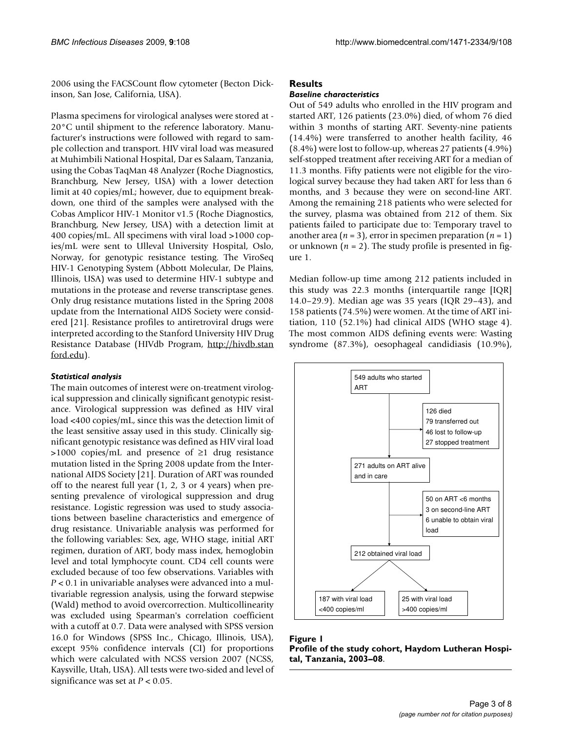2006 using the FACSCount flow cytometer (Becton Dickinson, San Jose, California, USA).

Plasma specimens for virological analyses were stored at - 20°C until shipment to the reference laboratory. Manufacturer's instructions were followed with regard to sample collection and transport. HIV viral load was measured at Muhimbili National Hospital, Dar es Salaam, Tanzania, using the Cobas TaqMan 48 Analyzer (Roche Diagnostics, Branchburg, New Jersey, USA) with a lower detection limit at 40 copies/mL; however, due to equipment breakdown, one third of the samples were analysed with the Cobas Amplicor HIV-1 Monitor v1.5 (Roche Diagnostics, Branchburg, New Jersey, USA) with a detection limit at 400 copies/mL. All specimens with viral load >1000 copies/mL were sent to Ulleval University Hospital, Oslo, Norway, for genotypic resistance testing. The ViroSeq HIV-1 Genotyping System (Abbott Molecular, De Plains, Illinois, USA) was used to determine HIV-1 subtype and mutations in the protease and reverse transcriptase genes. Only drug resistance mutations listed in the Spring 2008 update from the International AIDS Society were considered [21]. Resistance profiles to antiretroviral drugs were interpreted according to the Stanford University HIV Drug Resistance Database (HIVdb Program, [http://hivdb.stan](http://hivdb.stanford.edu) [ford.edu](http://hivdb.stanford.edu)).

#### *Statistical analysis*

The main outcomes of interest were on-treatment virological suppression and clinically significant genotypic resistance. Virological suppression was defined as HIV viral load <400 copies/mL, since this was the detection limit of the least sensitive assay used in this study. Clinically significant genotypic resistance was defined as HIV viral load  $>1000$  copies/mL and presence of  $\geq 1$  drug resistance mutation listed in the Spring 2008 update from the International AIDS Society [21]. Duration of ART was rounded off to the nearest full year (1, 2, 3 or 4 years) when presenting prevalence of virological suppression and drug resistance. Logistic regression was used to study associations between baseline characteristics and emergence of drug resistance. Univariable analysis was performed for the following variables: Sex, age, WHO stage, initial ART regimen, duration of ART, body mass index, hemoglobin level and total lymphocyte count. CD4 cell counts were excluded because of too few observations. Variables with *P* < 0.1 in univariable analyses were advanced into a multivariable regression analysis, using the forward stepwise (Wald) method to avoid overcorrection. Multicollinearity was excluded using Spearman's correlation coefficient with a cutoff at 0.7. Data were analysed with SPSS version 16.0 for Windows (SPSS Inc., Chicago, Illinois, USA), except 95% confidence intervals (CI) for proportions which were calculated with NCSS version 2007 (NCSS, Kaysville, Utah, USA). All tests were two-sided and level of significance was set at *P* < 0.05.

#### **Results**

#### *Baseline characteristics*

Out of 549 adults who enrolled in the HIV program and started ART, 126 patients (23.0%) died, of whom 76 died within 3 months of starting ART. Seventy-nine patients (14.4%) were transferred to another health facility, 46 (8.4%) were lost to follow-up, whereas 27 patients (4.9%) self-stopped treatment after receiving ART for a median of 11.3 months. Fifty patients were not eligible for the virological survey because they had taken ART for less than 6 months, and 3 because they were on second-line ART. Among the remaining 218 patients who were selected for the survey, plasma was obtained from 212 of them. Six patients failed to participate due to: Temporary travel to another area  $(n = 3)$ , error in specimen preparation  $(n = 1)$ or unknown  $(n = 2)$ . The study profile is presented in figure 1.

Median follow-up time among 212 patients included in this study was 22.3 months (interquartile range [IQR] 14.0–29.9). Median age was 35 years (IQR 29–43), and 158 patients (74.5%) were women. At the time of ART initiation, 110 (52.1%) had clinical AIDS (WHO stage 4). The most common AIDS defining events were: Wasting syndrome (87.3%), oesophageal candidiasis (10.9%),



#### **Figure 1 Profile of the study cohort, Haydom Lutheran Hospital, Tanzania, 2003–08**.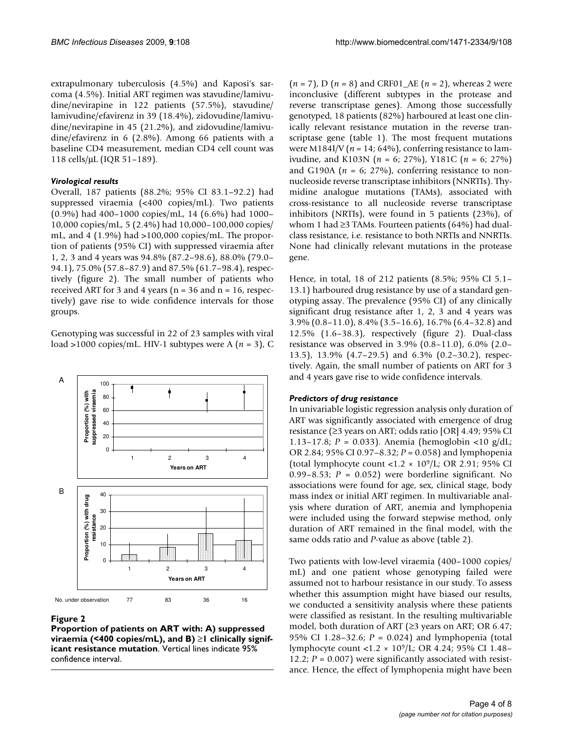extrapulmonary tuberculosis (4.5%) and Kaposi's sarcoma (4.5%). Initial ART regimen was stavudine/lamivudine/nevirapine in 122 patients (57.5%), stavudine/ lamivudine/efavirenz in 39 (18.4%), zidovudine/lamivudine/nevirapine in 45 (21.2%), and zidovudine/lamivudine/efavirenz in 6 (2.8%). Among 66 patients with a baseline CD4 measurement, median CD4 cell count was 118 cells/μL (IQR 51-189).

#### *Virological results*

Overall, 187 patients (88.2%; 95% CI 83.1–92.2) had suppressed viraemia (<400 copies/mL). Two patients (0.9%) had 400–1000 copies/mL, 14 (6.6%) had 1000– 10,000 copies/mL, 5 (2.4%) had 10,000–100,000 copies/ mL, and 4 (1.9%) had >100,000 copies/mL. The proportion of patients (95% CI) with suppressed viraemia after 1, 2, 3 and 4 years was 94.8% (87.2–98.6), 88.0% (79.0– 94.1), 75.0% (57.8–87.9) and 87.5% (61.7–98.4), respectively (figure 2). The small number of patients who received ART for 3 and 4 years ( $n = 36$  and  $n = 16$ , respectively) gave rise to wide confidence intervals for those groups.

Genotyping was successful in 22 of 23 samples with viral load >1000 copies/mL. HIV-1 subtypes were A (*n* = 3), C



#### **Figure 2**

**Proportion of patients on ART with: A) suppressed**  viraemia (<400 copies/mL), and **B**) ≥1 clinically signif**icant resistance mutation**. Vertical lines indicate 95% confidence interval.

(*n* = 7), D (*n* = 8) and CRF01\_AE (*n* = 2), whereas 2 were inconclusive (different subtypes in the protease and reverse transcriptase genes). Among those successfully genotyped, 18 patients (82%) harboured at least one clinically relevant resistance mutation in the reverse transcriptase gene (table 1). The most frequent mutations were M184I/V (*n* = 14; 64%), conferring resistance to lamivudine, and K103N (*n* = 6; 27%), Y181C (*n* = 6; 27%) and G190A ( $n = 6$ ; 27%), conferring resistance to nonnucleoside reverse transcriptase inhibitors (NNRTIs). Thymidine analogue mutations (TAMs), associated with cross-resistance to all nucleoside reverse transcriptase inhibitors (NRTIs), were found in 5 patients (23%), of whom 1 had  $\geq$ 3 TAMs. Fourteen patients (64%) had dualclass resistance, i.e. resistance to both NRTIs and NNRTIs. None had clinically relevant mutations in the protease gene.

Hence, in total, 18 of 212 patients (8.5%; 95% CI 5.1– 13.1) harboured drug resistance by use of a standard genotyping assay. The prevalence (95% CI) of any clinically significant drug resistance after 1, 2, 3 and 4 years was 3.9% (0.8–11.0), 8.4% (3.5–16.6), 16.7% (6.4–32.8) and 12.5% (1.6–38.3), respectively (figure 2). Dual-class resistance was observed in 3.9% (0.8–11.0), 6.0% (2.0– 13.5), 13.9% (4.7–29.5) and 6.3% (0.2–30.2), respectively. Again, the small number of patients on ART for 3 and 4 years gave rise to wide confidence intervals.

#### *Predictors of drug resistance*

In univariable logistic regression analysis only duration of ART was significantly associated with emergence of drug resistance ( $\geq$ 3 years on ART; odds ratio [OR] 4.49; 95% CI 1.13–17.8; *P* = 0.033). Anemia (hemoglobin <10 g/dL; OR 2.84; 95% CI 0.97–8.32; *P* = 0.058) and lymphopenia (total lymphocyte count <1.2  $\times$  10<sup>9</sup>/L; OR 2.91; 95% CI 0.99–8.53;  $P = 0.052$ ) were borderline significant. No associations were found for age, sex, clinical stage, body mass index or initial ART regimen. In multivariable analysis where duration of ART, anemia and lymphopenia were included using the forward stepwise method, only duration of ART remained in the final model, with the same odds ratio and *P*-value as above (table 2).

Two patients with low-level viraemia (400–1000 copies/ mL) and one patient whose genotyping failed were assumed not to harbour resistance in our study. To assess whether this assumption might have biased our results, we conducted a sensitivity analysis where these patients were classified as resistant. In the resulting multivariable model, both duration of ART ( $\geq$ 3 years on ART; OR 6.47; 95% CI 1.28–32.6; *P* = 0.024) and lymphopenia (total lymphocyte count <1.2 × 109/L; OR 4.24; 95% CI 1.48– 12.2;  $P = 0.007$ ) were significantly associated with resistance. Hence, the effect of lymphopenia might have been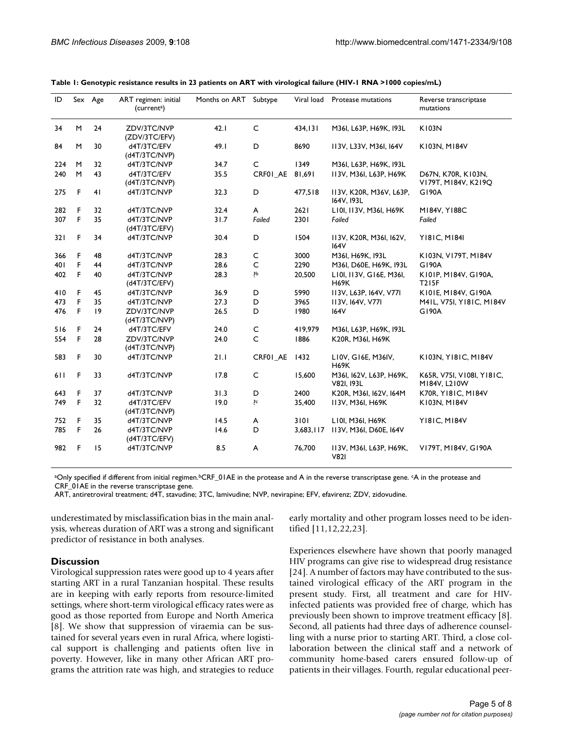| ID  |    | Sex Age | ART regimen: initial<br>(current <sup>a</sup> ) | Months on ART | Subtype         | Viral load | Protease mutations                     | Reverse transcriptase<br>mutations        |
|-----|----|---------|-------------------------------------------------|---------------|-----------------|------------|----------------------------------------|-------------------------------------------|
| 34  | M  | 24      | ZDV/3TC/NVP<br>(ZDV/3TC/EFV)                    | 42.1          | $\mathsf{C}$    | 434,131    | M36I, L63P, H69K, I93L                 | <b>K103N</b>                              |
| 84  | M  | 30      | d4T/3TC/EFV<br>(d4T/3TC/NVP)                    | 49.1          | D               | 8690       | 113V, L33V, M36I, 164V                 | K103N, M184V                              |
| 224 | M  | 32      | d4T/3TC/NVP                                     | 34.7          | $\mathsf{C}$    | 1349       | M36I, L63P, H69K, I93L                 |                                           |
| 240 | M  | 43      | d4T/3TC/EFV<br>(dAT/3TC/NVP)                    | 35.5          | CRF01_AE 81,691 |            | 113V, M36I, L63P, H69K                 | D67N, K70R, K103N,<br>V179T, M184V, K219Q |
| 275 | F  | 41      | d4T/3TC/NVP                                     | 32.3          | D               | 477,518    | 113V, K20R, M36V, L63P,<br>164V, 193L  | G190A                                     |
| 282 | F. | 32      | d4T/3TC/NVP                                     | 32.4          | A               | 2621       | L10I, I13V, M36I, H69K                 | M184V, Y188C                              |
| 307 | F  | 35      | d4T/3TC/NVP<br>(d4T/3TC/EFV)                    | 31.7          | Failed          | 2301       | Failed                                 | Failed                                    |
| 321 | F  | 34      | d4T/3TC/NVP                                     | 30.4          | D               | 1504       | 113V, K20R, M36I, 162V,<br>I64V        | Y181C, M1841                              |
| 366 | F  | 48      | d4T/3TC/NVP                                     | 28.3          | C               | 3000       | M36I, H69K, I93L                       | K103N, V179T, M184V                       |
| 401 | F  | 44      | d4T/3TC/NVP                                     | 28.6          | C               | 2290       | M36I, D60E, H69K, I93L                 | G190A                                     |
| 402 | F. | 40      | d4T/3TC/NVP<br>(d4T/3TC/EFV)                    | 28.3          | 'n              | 20,500     | L10I, I13V, G16E, M36I,<br><b>H69K</b> | K101P, M184V, G190A,<br><b>T215F</b>      |
| 410 | F. | 45      | d4T/3TC/NVP                                     | 36.9          | D               | 5990       | 113V, L63P, 164V, V771                 | K101E, M184V, G190A                       |
| 473 | F. | 35      | d4T/3TC/NVP                                     | 27.3          | D               | 3965       | 113V, 164V, V771                       | M41L, V75I, Y181C, M184V                  |
| 476 | F. | 19      | ZDV/3TC/NVP<br>(d4T/3TC/NVP)                    | 26.5          | D               | 1980       | I64V                                   | G190A                                     |
| 516 | F. | 24      | d4T/3TC/EFV                                     | 24.0          | $\mathsf C$     | 419,979    | M36I, L63P, H69K, I93L                 |                                           |
| 554 | F  | 28      | ZDV/3TC/NVP                                     | 24.0          | C               | 1886       | K20R, M36I, H69K                       |                                           |
|     |    |         | (d4T/3TC/NVP)                                   |               |                 |            |                                        |                                           |
| 583 | F  | 30      | d4T/3TC/NVP                                     | 21.1          | CRF01_AE        | 1432       | LIOV, GI6E, M36IV,<br><b>H69K</b>      | K103N, Y181C, M184V                       |
| 611 | F  | 33      | d4T/3TC/NVP                                     | 17.8          | $\mathsf{C}$    | 15,600     | M36I, I62V, L63P, H69K,<br>V82I, 193L  | K65R, V75I, V108I, Y181C,<br>M184V, L210W |
| 643 | F  | 37      | d4T/3TC/NVP                                     | 31.3          | D               | 2400       | K20R, M36I, I62V, I64M                 | K70R, Y181C, M184V                        |
| 749 | F. | 32      | d4T/3TC/EFV<br>(d4T/3TC/NVP)                    | 19.0          | įс              | 35,400     | 113V, M36I, H69K                       | K103N, M184V                              |
| 752 | F. | 35      | d4T/3TC/NVP                                     | 14.5          | A               | 3101       | L10I, M36I, H69K                       | YI8IC, MI84V                              |
| 785 | F. | 26      | d4T/3TC/NVP<br>(dAT/3TC/EFV)                    | 14.6          | D               | 3,683,117  | 113V, M36I, D60E, 164V                 |                                           |
| 982 | F  | 15      | d4T/3TC/NVP                                     | 8.5           | A               | 76,700     | 113V, M36I, L63P, H69K,<br><b>V821</b> | V179T, M184V, G190A                       |

**Table 1: Genotypic resistance results in 23 patients on ART with virological failure (HIV-1 RNA >1000 copies/mL)**

aOnly specified if different from initial regimen.<sup>b</sup>CRF\_01AE in the protease and A in the reverse transcriptase gene. <sup>c</sup>A in the protease and CRF\_01AE in the reverse transcriptase gene.

ART, antiretroviral treatment; d4T, stavudine; 3TC, lamivudine; NVP, nevirapine; EFV, efavirenz; ZDV, zidovudine.

underestimated by misclassification bias in the main analysis, whereas duration of ART was a strong and significant predictor of resistance in both analyses.

#### **Discussion**

Virological suppression rates were good up to 4 years after starting ART in a rural Tanzanian hospital. These results are in keeping with early reports from resource-limited settings, where short-term virological efficacy rates were as good as those reported from Europe and North America [8]. We show that suppression of viraemia can be sustained for several years even in rural Africa, where logistical support is challenging and patients often live in poverty. However, like in many other African ART programs the attrition rate was high, and strategies to reduce early mortality and other program losses need to be identified [11,12,22,23].

Experiences elsewhere have shown that poorly managed HIV programs can give rise to widespread drug resistance [24]. A number of factors may have contributed to the sustained virological efficacy of the ART program in the present study. First, all treatment and care for HIVinfected patients was provided free of charge, which has previously been shown to improve treatment efficacy [8]. Second, all patients had three days of adherence counselling with a nurse prior to starting ART. Third, a close collaboration between the clinical staff and a network of community home-based carers ensured follow-up of patients in their villages. Fourth, regular educational peer-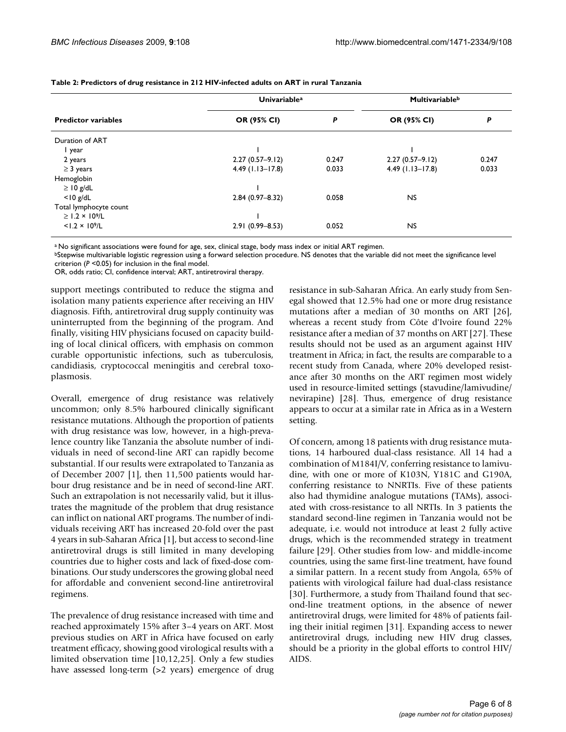|                                 | <b>Univariable<sup>a</sup></b> | <b>Multivariable</b> <sup>b</sup> |                    |       |
|---------------------------------|--------------------------------|-----------------------------------|--------------------|-------|
| <b>Predictor variables</b>      | OR (95% CI)                    | P                                 | OR (95% CI)        | P     |
| Duration of ART                 |                                |                                   |                    |       |
| I year                          |                                |                                   |                    |       |
| 2 years                         | $2.27(0.57-9.12)$              | 0.247                             | $2.27(0.57-9.12)$  | 0.247 |
| $\geq$ 3 years                  | $4.49$ (1.13-17.8)             | 0.033                             | $4.49$ (1.13-17.8) | 0.033 |
| Hemoglobin                      |                                |                                   |                    |       |
| $\geq$ 10 g/dL                  |                                |                                   |                    |       |
| $<$ 10 g/dL                     | $2.84(0.97 - 8.32)$            | 0.058                             | <b>NS</b>          |       |
| Total lymphocyte count          |                                |                                   |                    |       |
| $\geq$ 1.2 × 10 <sup>9</sup> /L |                                |                                   |                    |       |
| $< 1.2 \times 10^{9}/L$         | $2.91(0.99 - 8.53)$            | 0.052                             | <b>NS</b>          |       |

**Table 2: Predictors of drug resistance in 212 HIV-infected adults on ART in rural Tanzania**

a No significant associations were found for age, sex, clinical stage, body mass index or initial ART regimen.

**bStepwise multivariable logistic regression using a forward selection procedure. NS denotes that the variable did not meet the significance level** criterion (*P* <0.05) for inclusion in the final model.

OR, odds ratio; CI, confidence interval; ART, antiretroviral therapy.

support meetings contributed to reduce the stigma and isolation many patients experience after receiving an HIV diagnosis. Fifth, antiretroviral drug supply continuity was uninterrupted from the beginning of the program. And finally, visiting HIV physicians focused on capacity building of local clinical officers, with emphasis on common curable opportunistic infections, such as tuberculosis, candidiasis, cryptococcal meningitis and cerebral toxoplasmosis.

Overall, emergence of drug resistance was relatively uncommon; only 8.5% harboured clinically significant resistance mutations. Although the proportion of patients with drug resistance was low, however, in a high-prevalence country like Tanzania the absolute number of individuals in need of second-line ART can rapidly become substantial. If our results were extrapolated to Tanzania as of December 2007 [1], then 11,500 patients would harbour drug resistance and be in need of second-line ART. Such an extrapolation is not necessarily valid, but it illustrates the magnitude of the problem that drug resistance can inflict on national ART programs. The number of individuals receiving ART has increased 20-fold over the past 4 years in sub-Saharan Africa [1], but access to second-line antiretroviral drugs is still limited in many developing countries due to higher costs and lack of fixed-dose combinations. Our study underscores the growing global need for affordable and convenient second-line antiretroviral regimens.

The prevalence of drug resistance increased with time and reached approximately 15% after 3–4 years on ART. Most previous studies on ART in Africa have focused on early treatment efficacy, showing good virological results with a limited observation time [10,12,25]. Only a few studies have assessed long-term (>2 years) emergence of drug resistance in sub-Saharan Africa. An early study from Senegal showed that 12.5% had one or more drug resistance mutations after a median of 30 months on ART [26], whereas a recent study from Côte d'Ivoire found 22% resistance after a median of 37 months on ART [27]. These results should not be used as an argument against HIV treatment in Africa; in fact, the results are comparable to a recent study from Canada, where 20% developed resistance after 30 months on the ART regimen most widely used in resource-limited settings (stavudine/lamivudine/ nevirapine) [28]. Thus, emergence of drug resistance appears to occur at a similar rate in Africa as in a Western setting.

Of concern, among 18 patients with drug resistance mutations, 14 harboured dual-class resistance. All 14 had a combination of M184I/V, conferring resistance to lamivudine, with one or more of K103N, Y181C and G190A, conferring resistance to NNRTIs. Five of these patients also had thymidine analogue mutations (TAMs), associated with cross-resistance to all NRTIs. In 3 patients the standard second-line regimen in Tanzania would not be adequate, i.e. would not introduce at least 2 fully active drugs, which is the recommended strategy in treatment failure [29]. Other studies from low- and middle-income countries, using the same first-line treatment, have found a similar pattern. In a recent study from Angola, 65% of patients with virological failure had dual-class resistance [30]. Furthermore, a study from Thailand found that second-line treatment options, in the absence of newer antiretroviral drugs, were limited for 48% of patients failing their initial regimen [31]. Expanding access to newer antiretroviral drugs, including new HIV drug classes, should be a priority in the global efforts to control HIV/ AIDS.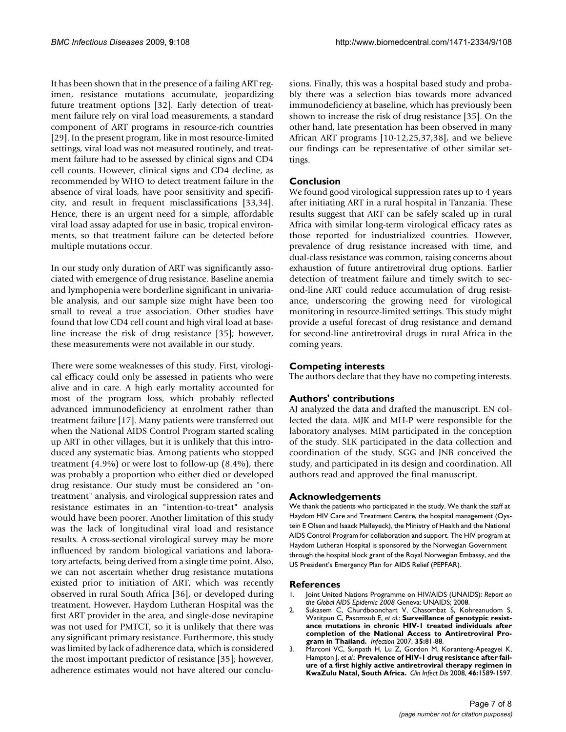It has been shown that in the presence of a failing ART regimen, resistance mutations accumulate, jeopardizing future treatment options [32]. Early detection of treatment failure rely on viral load measurements, a standard component of ART programs in resource-rich countries [29]. In the present program, like in most resource-limited settings, viral load was not measured routinely, and treatment failure had to be assessed by clinical signs and CD4 cell counts. However, clinical signs and CD4 decline, as recommended by WHO to detect treatment failure in the absence of viral loads, have poor sensitivity and specificity, and result in frequent misclassifications [33,34]. Hence, there is an urgent need for a simple, affordable viral load assay adapted for use in basic, tropical environments, so that treatment failure can be detected before multiple mutations occur.

In our study only duration of ART was significantly associated with emergence of drug resistance. Baseline anemia and lymphopenia were borderline significant in univariable analysis, and our sample size might have been too small to reveal a true association. Other studies have found that low CD4 cell count and high viral load at baseline increase the risk of drug resistance [35]; however, these measurements were not available in our study.

There were some weaknesses of this study. First, virological efficacy could only be assessed in patients who were alive and in care. A high early mortality accounted for most of the program loss, which probably reflected advanced immunodeficiency at enrolment rather than treatment failure [17]. Many patients were transferred out when the National AIDS Control Program started scaling up ART in other villages, but it is unlikely that this introduced any systematic bias. Among patients who stopped treatment (4.9%) or were lost to follow-up (8.4%), there was probably a proportion who either died or developed drug resistance. Our study must be considered an "ontreatment" analysis, and virological suppression rates and resistance estimates in an "intention-to-treat" analysis would have been poorer. Another limitation of this study was the lack of longitudinal viral load and resistance results. A cross-sectional virological survey may be more influenced by random biological variations and laboratory artefacts, being derived from a single time point. Also, we can not ascertain whether drug resistance mutations existed prior to initiation of ART, which was recently observed in rural South Africa [36], or developed during treatment. However, Haydom Lutheran Hospital was the first ART provider in the area, and single-dose nevirapine was not used for PMTCT, so it is unlikely that there was any significant primary resistance. Furthermore, this study was limited by lack of adherence data, which is considered the most important predictor of resistance [35]; however, adherence estimates would not have altered our conclusions. Finally, this was a hospital based study and probably there was a selection bias towards more advanced immunodeficiency at baseline, which has previously been shown to increase the risk of drug resistance [35]. On the other hand, late presentation has been observed in many African ART programs [10-12,25,37,38], and we believe our findings can be representative of other similar settings.

### **Conclusion**

We found good virological suppression rates up to 4 years after initiating ART in a rural hospital in Tanzania. These results suggest that ART can be safely scaled up in rural Africa with similar long-term virological efficacy rates as those reported for industrialized countries. However, prevalence of drug resistance increased with time, and dual-class resistance was common, raising concerns about exhaustion of future antiretroviral drug options. Earlier detection of treatment failure and timely switch to second-line ART could reduce accumulation of drug resistance, underscoring the growing need for virological monitoring in resource-limited settings. This study might provide a useful forecast of drug resistance and demand for second-line antiretroviral drugs in rural Africa in the coming years.

#### **Competing interests**

The authors declare that they have no competing interests.

### **Authors' contributions**

AJ analyzed the data and drafted the manuscript. EN collected the data. MJK and MH-P were responsible for the laboratory analyses. MIM participated in the conception of the study. SLK participated in the data collection and coordination of the study. SGG and JNB conceived the study, and participated in its design and coordination. All authors read and approved the final manuscript.

#### **Acknowledgements**

We thank the patients who participated in the study. We thank the staff at Haydom HIV Care and Treatment Centre, the hospital management (Oystein E Olsen and Isaack Malleyeck), the Ministry of Health and the National AIDS Control Program for collaboration and support. The HIV program at Haydom Lutheran Hospital is sponsored by the Norwegian Government through the hospital block grant of the Royal Norwegian Embassy, and the US President's Emergency Plan for AIDS Relief (PEPFAR).

#### **References**

- 1. Joint United Nations Programme on HIV/AIDS (UNAIDS): *Report on the Global AIDS Epidemic 2008* Geneva: UNAIDS; 2008.
- 2. Sukasem C, Churdboonchart V, Chasombat S, Kohreanudom S, Watitpun C, Pasomsub E, *et al.*: **[Surveillance of genotypic resist](http://www.ncbi.nlm.nih.gov/entrez/query.fcgi?cmd=Retrieve&db=PubMed&dopt=Abstract&list_uids=17401711)[ance mutations in chronic HIV-1 treated individuals after](http://www.ncbi.nlm.nih.gov/entrez/query.fcgi?cmd=Retrieve&db=PubMed&dopt=Abstract&list_uids=17401711) completion of the National Access to Antiretroviral Pro[gram in Thailand.](http://www.ncbi.nlm.nih.gov/entrez/query.fcgi?cmd=Retrieve&db=PubMed&dopt=Abstract&list_uids=17401711)** *Infection* 2007, **35:**81-88.
- 3. Marconi VC, Sunpath H, Lu Z, Gordon M, Koranteng-Apeagyei K, Hampton J, *et al.*: **[Prevalence of HIV-1 drug resistance after fail](http://www.ncbi.nlm.nih.gov/entrez/query.fcgi?cmd=Retrieve&db=PubMed&dopt=Abstract&list_uids=18419495)[ure of a first highly active antiretroviral therapy regimen in](http://www.ncbi.nlm.nih.gov/entrez/query.fcgi?cmd=Retrieve&db=PubMed&dopt=Abstract&list_uids=18419495) [KwaZulu Natal, South Africa.](http://www.ncbi.nlm.nih.gov/entrez/query.fcgi?cmd=Retrieve&db=PubMed&dopt=Abstract&list_uids=18419495)** *Clin Infect Dis* 2008, **46:**1589-1597.